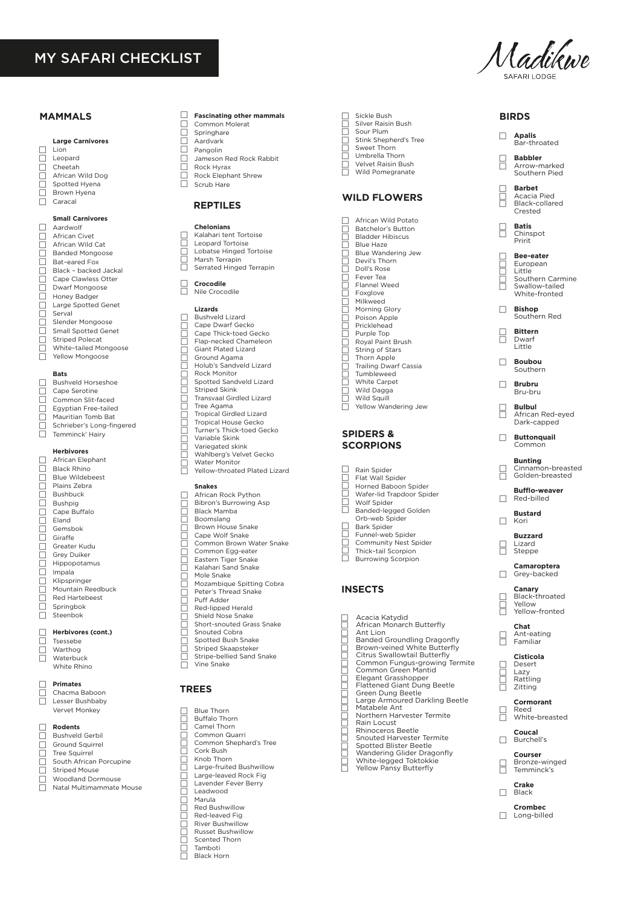# MY SAFARI CHECKLIST

# **MAMMALS**

 $\Box$ |-<br>|-<br>|-

 $\Box$ 

## **Large Carnivores**

Lion Leopard Cheetah African Wild Dog Spotted Hyena Brown Hyena Caracal ō

> **Small Carnivores** Aardwolf

African Civet African Wild Cat Banded Mongoose Bat–eared Fox Black – backed Jackal Cape Clawless Otter Dwarf Mongoose Honey Badger Large Spotted Genet Serval Slender Mongoose Small Spotted Genet Striped Polecat White–tailed Mongoose Yellow Mongoose  $\Box$  $\Box$ |<br>|- $\Box$ |<br>|ŏ |-<br>|-|<br>|-Ħ |<br>|-

# **Bats**

□ □  $\Box$ |<br>|- $\Box$  $\Box$  Bushveld Horseshoe Cape Serotine Common Slit-faced Egyptian Free-tailed Mauritian Tomb Bat Schrieber's Long-fingered Temminck' Hairy

### **Herbivores**

African Elephant Black Rhino Blue Wildebeest Plains Zebra Bushbuck Bushpig Cape Buffalo Eland Gemsbok Giraffe Greater Kudu Grey Duiker Hippopotamus Impala Klipspringer Mountain Reedbuck Red Hartebeest Springbok Steenbok |<br>|-Ē |<br>|-|-<br>|ŏ |<br>|- $\Box$ |<br>|- $\Box$ |<br>|- $\Box$  $\Box$ 

> **Herbivores (cont.)** Tsessebe

Warthog Waterbuck White Rhino

#### **Primates**  $\Box$

 $\Box$ |<br>|- $\Box$ 

> Chacma Baboon Lesser Bushbaby Vervet Monkey 1<br>N

### **Rodents** Bushveld Gerbil  $\Box$

Ē

- Ground Squirrel Tree Squirrel South African Porcupine Striped Mouse Woodland Dormouse 1<br>N 1<br>N
- Natal Multimammate Mouse  $\Box$

#### $\Box$ **Fascinating other mammals**

- $\Box$ Common Molerat
- Springhare Aardvark
- $\Box$ Pangolin
- $\Box$ Jameson Red Rock Rabbit
- ō Rock Hyrax
- $\Box$ Rock Elephant Shrew Scrub Hare

# **REPTILES**

## **Chelonians**

- 88888888 Kalahari tent Tortoise Leopard Tortoise
- Lobatse Hinged Tortoise
- Marsh Terrapin Serrated Hinged Terrapin
- 
- 2<br>2 **Crocodile** Nile Crocodile

### **Lizards**

- Bushveld Lizard Cape Dwarf Gecko Cape Thick-toed Gecko Flap-necked Chameleon Giant Plated Lizard Ground Agama Holub's Sandveld Lizard Rock Monitor Spotted Sandveld Lizard Striped Skink Transvaal Girdled Lizard Tree Agama Tropical Girdled Lizard Tropical House Gecko Turner's Thick-toed Gecko Variable Skink Variegated skink П 88888888888888888
- Wahlberg's Velvet Gecko
- Water Monitor Yellow-throated Plated Lizard 2<br>2

## **Snakes**

- African Rock Python Bibron's Burrowing Asp Black Mamba Boomslang Brown House Snake Cape Wolf Snake Common Brown Water Snake Common Egg-eater Eastern Tiger Snake Kalahari Sand Snake Mole Snake □ □ 888888888888888
- Mozambique Spitting Cobra Peter's Thread Snake
- Puff Adder Red-lipped Herald
- Shield Nose Snake
- Short-snouted Grass Snake |-<br>|-
	- Snouted Cobra Spotted Bush Snake
- Striped Skaapsteker
- Striped Snaapstener<br>Stripe-bellied Sand Snake Vine Snake |-<br>|-

# **TREES**

- Г Blue Thorn
- Г Buffalo Thorn
- Camel Thorn
- Common Quarri Common Shephard's Tree
- Cork Bush
- Knob Thorn
- Large-fruited Bushwillow
- Large-leaved Rock Fig Lavender Fever Berry
- Leadwood
- Marula
- Red Bushwillow
- E Red-leaved Fig
- River Bushwillow Russet Bushwillow
- Scented Thorn
- Tamboti
- F Black Horn
- □ □ Sickle Bush Silver Raisin Bush Sour Plum
- Stink Shepherd's Tree
- EEEEE Sweet Thorn
- Umbrella Thorn Velvet Raisin Bush
- Wild Pomegranate

# **WILD FLOWERS**

- □ African Wild Potato Batchelor's Button Bladder Hibiscus Blue Haze Blue Wandering Jew Devil's Thorn Doll's Rose Fever Tea Flannel Weed Foxglove Milkweed Morning Glory Poison Apple Pricklehead Purple Top Royal Paint Brush String of Stars Thorn Apple Trailing Dwarf Cassia Tumbleweed White Carpet Wild Dagga
- **SPIDERS &**

Wild Squill Yellow Wandering Jew

# **SCORPIONS**

- E |-<br>|-<br>|-Rain Spider Flat Wall Spider Horned Baboon Spider Wafer-lid Trapdoor Spider Wolf Spider
- Banded-legged Golden
- □ Orb-web Spider
- Bark Spider
- Funnel-web Spider
- |-<br>|-<br>|-Community Nest Spider Thick–tail Scorpion
- Burrowing Scorpion

## **INSECTS**

- Acacia Katydid ⊏
- African Monarch Butterfly Ant Lion
- E
- 
- Banded Groundling Dragonfly Brown-veined White Butterfly Citrus Swallowtail Butterfly Common Fungus-growing Termite Common Green Mantid Elegant Grasshopper
- 
- 
- 
- Flattened Giant Dung Beetle Green Dung Beetle
- Large Armoured Darkling Beetle Matabele Ant
- Northern Harvester Termite
- Rain Locust
- Rhinoceros Beetle Snouted Harvester Termite
- 
- Spotted Blister Beetle Wandering Glider Dragonfly E
- White-legged Toktokkie Yellow Pansy Butterfly ⊏
- ⊏
- **Bunting** Cinnamon-breasted Golden-breasted **Bufflo-weaver** Red-billed **Bustard** Kori **Buzzard** Lizard **Steppe Camaroptera** Grey-backed **Canary** Black-throated Yellow Yellow-fronted **Chat** Ant-eating Familiar **Cisticola Desert** Lazy Rattling Zitting **Cormorant** Reed White-breasted **Coucal Apalis** Bar-throated **Babbler** Arrow-marked Southern Pied **Barbet** Acacia Pied Black-collared Crested **Batis**  Chinspot Pririt **Bee-eater** European Little Southern Carmine Swallow-tailed White-fronted **Bishop** Southern Red **Bittern** Dwarf Little **Boubou** Southern **Brubru** Bru-bru **Bulbul** African Red-eyed Dark-capped **Buttonquail** Common  $\Box$ ⊏ ⊏ E E ⊏ ⊏ ⊏ E  $\Box$ E  $\Box$  $\Box$ E  $\Box$ F  $\Box$  $\Box$ E  $\Box$ E E E E

**BIRDS**

Madikwe

Burchell's

 $\Box$ 

E

 $\Box$ 

**Courser** Bronze-winged Temminck's **Crake Black Crombec** D Long-billed